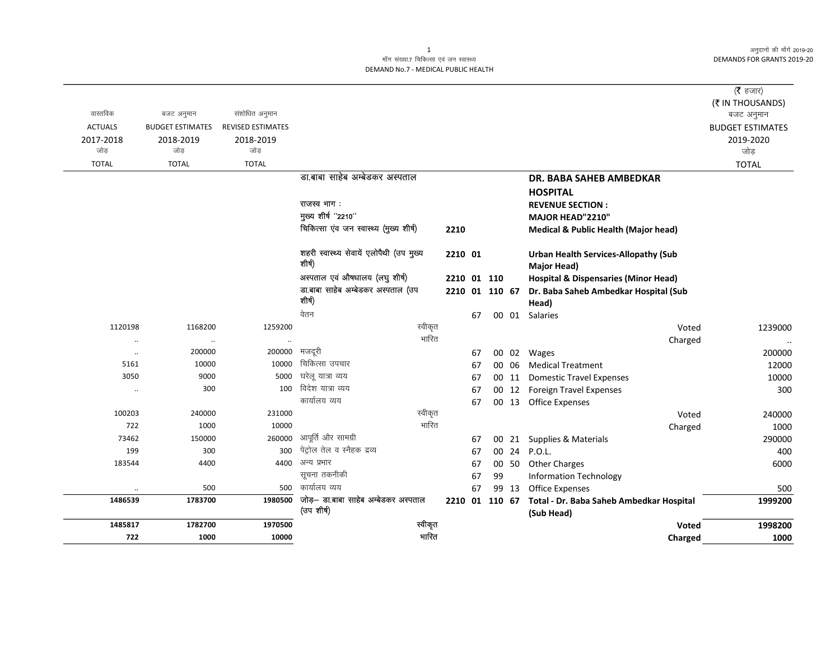अनुदानों की माँगें 2019-20 **DEMANDS FOR GRANTS 2019-20** 

## माँग संख्या.7 चिकित्सा एवं जन स्वास्थ्य DEMAND No.7 - MEDICAL PUBLIC HEALTH

|                |                         |                          |                                                    |                |    |    |       |                                                 | ( $\bar{\tau}$ हजार)                 |
|----------------|-------------------------|--------------------------|----------------------------------------------------|----------------|----|----|-------|-------------------------------------------------|--------------------------------------|
| वास्तविक       | बजट अनुमान              | संशोधित अनुमान           |                                                    |                |    |    |       |                                                 | (₹ IN THOUSANDS)                     |
| <b>ACTUALS</b> | <b>BUDGET ESTIMATES</b> | <b>REVISED ESTIMATES</b> |                                                    |                |    |    |       |                                                 | बजट अनुमान                           |
| 2017-2018      | 2018-2019               | 2018-2019                |                                                    |                |    |    |       |                                                 | <b>BUDGET ESTIMATES</b><br>2019-2020 |
| जोड            | जोड़                    | जोड                      |                                                    |                |    |    |       |                                                 | जोड़                                 |
| <b>TOTAL</b>   | <b>TOTAL</b>            | <b>TOTAL</b>             |                                                    |                |    |    |       |                                                 | <b>TOTAL</b>                         |
|                |                         |                          | डा.बाबा साहेब अम्बेडकर अस्पताल                     |                |    |    |       | <b>DR. BABA SAHEB AMBEDKAR</b>                  |                                      |
|                |                         |                          |                                                    |                |    |    |       | <b>HOSPITAL</b>                                 |                                      |
|                |                         |                          | राजस्व भाग :                                       |                |    |    |       | <b>REVENUE SECTION:</b>                         |                                      |
|                |                         |                          | मुख्य शीर्ष "2210"                                 |                |    |    |       | MAJOR HEAD"2210"                                |                                      |
|                |                         |                          | चिकित्सा एंव जन स्वास्थ्य (मुख्य शीर्ष)            | 2210           |    |    |       | <b>Medical &amp; Public Health (Major head)</b> |                                      |
|                |                         |                          |                                                    |                |    |    |       |                                                 |                                      |
|                |                         |                          | शहरी स्वास्थ्य सेवायें एलोपैथी (उप मुख्य           | 2210 01        |    |    |       | <b>Urban Health Services-Allopathy (Sub</b>     |                                      |
|                |                         |                          | शीर्ष)                                             |                |    |    |       | <b>Major Head)</b>                              |                                      |
|                |                         |                          | अस्पताल एवं औषधालय (लघु शीर्ष)                     | 2210 01 110    |    |    |       | <b>Hospital &amp; Dispensaries (Minor Head)</b> |                                      |
|                |                         |                          | डा.बाबा साहेब अम्बेडकर अस्पताल (उप                 | 2210 01 110 67 |    |    |       | Dr. Baba Saheb Ambedkar Hospital (Sub           |                                      |
|                |                         |                          | शीर्ष)                                             |                |    |    |       | Head)                                           |                                      |
|                |                         |                          | वेतन                                               |                | 67 |    |       | 00 01 Salaries                                  |                                      |
| 1120198        | 1168200                 | 1259200                  | स्वीकृत                                            |                |    |    |       | Voted                                           | 1239000                              |
|                | $\cdot$                 |                          | भारित                                              |                |    |    |       | Charged                                         |                                      |
| $\cdot\cdot$   | 200000                  | 200000                   | मजदूरी                                             |                | 67 |    |       | 00 02 Wages                                     | 200000                               |
| 5161           | 10000                   | 10000                    | चिकित्सा उपचार                                     |                | 67 |    | 00 06 | <b>Medical Treatment</b>                        | 12000                                |
| 3050           | 9000                    | 5000                     | घरेलू यात्रा व्यय                                  |                | 67 |    | 00 11 | <b>Domestic Travel Expenses</b>                 | 10000                                |
| $\cdot\cdot$   | 300                     | 100                      | विदेश यात्रा व्यय                                  |                | 67 |    |       | 00 12 Foreign Travel Expenses                   | 300                                  |
|                |                         |                          | कार्यालय व्यय                                      |                | 67 |    |       | 00 13 Office Expenses                           |                                      |
| 100203         | 240000                  | 231000                   | स्वीकृत                                            |                |    |    |       | Voted                                           | 240000                               |
| 722            | 1000                    | 10000                    | भारित                                              |                |    |    |       | Charged                                         | 1000                                 |
| 73462          | 150000                  | 260000                   | आपूर्ति और सामग्री                                 |                | 67 |    |       | 00 21 Supplies & Materials                      | 290000                               |
| 199            | 300                     | 300                      | पेट्रोल तेल व स्नैहक द्रव्य                        |                | 67 |    | 00 24 | <b>P.O.L.</b>                                   | 400                                  |
| 183544         | 4400                    | 4400                     | अन्य प्रभार                                        |                | 67 |    | 00 50 | <b>Other Charges</b>                            | 6000                                 |
|                |                         |                          | सूचना तकनीकी<br>कार्यालय व्यय                      |                | 67 | 99 |       | <b>Information Technology</b>                   |                                      |
| $\cdot\cdot$   | 500                     | 500                      |                                                    |                | 67 |    | 99 13 | <b>Office Expenses</b>                          | 500                                  |
| 1486539        | 1783700                 | 1980500                  | जोड़— डा.बाबा साहेब अम्बेडकर अस्पताल<br>(उप शीर्ष) | 2210 01 110 67 |    |    |       | Total - Dr. Baba Saheb Ambedkar Hospital        | 1999200                              |
| 1485817        | 1782700                 | 1970500                  | स्वीकृत                                            |                |    |    |       | (Sub Head)<br>Voted                             | 1998200                              |
| 722            | 1000                    | 10000                    | भारित                                              |                |    |    |       |                                                 | 1000                                 |
|                |                         |                          |                                                    |                |    |    |       | Charged                                         |                                      |

 $\mathbf{1}$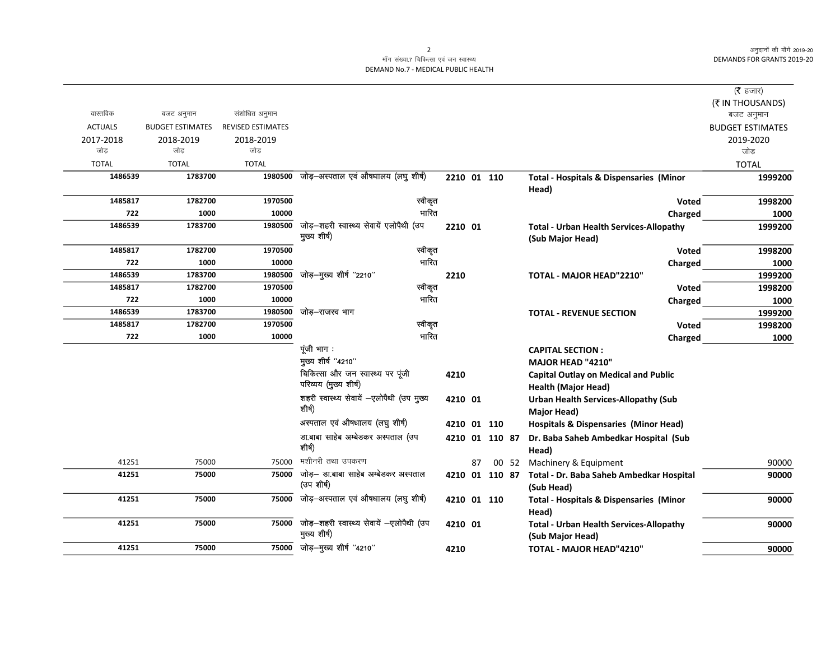अनुदानों की माँगें 2019-20 **DEMANDS FOR GRANTS 2019-20** 

## माँग संख्या.7 चिकित्सा एवं जन स्वास्थ्य DEMAND No.7 - MEDICAL PUBLIC HEALTH

|                         |                          |                                                                                                    |                                                                                                                                                                                                                                                                                                                                                                     |                                                                              |                               |                                           |                                                    | (रै हजार)                                                                                                                             |
|-------------------------|--------------------------|----------------------------------------------------------------------------------------------------|---------------------------------------------------------------------------------------------------------------------------------------------------------------------------------------------------------------------------------------------------------------------------------------------------------------------------------------------------------------------|------------------------------------------------------------------------------|-------------------------------|-------------------------------------------|----------------------------------------------------|---------------------------------------------------------------------------------------------------------------------------------------|
|                         |                          |                                                                                                    |                                                                                                                                                                                                                                                                                                                                                                     |                                                                              |                               |                                           |                                                    | (₹ IN THOUSANDS)                                                                                                                      |
| बजट अनुमान              |                          |                                                                                                    |                                                                                                                                                                                                                                                                                                                                                                     |                                                                              |                               |                                           |                                                    | बजट अनुमान                                                                                                                            |
| <b>BUDGET ESTIMATES</b> | <b>REVISED ESTIMATES</b> |                                                                                                    |                                                                                                                                                                                                                                                                                                                                                                     |                                                                              |                               |                                           |                                                    | <b>BUDGET ESTIMATES</b>                                                                                                               |
| 2018-2019               | 2018-2019                |                                                                                                    |                                                                                                                                                                                                                                                                                                                                                                     |                                                                              |                               |                                           |                                                    | 2019-2020                                                                                                                             |
|                         |                          |                                                                                                    |                                                                                                                                                                                                                                                                                                                                                                     |                                                                              |                               |                                           |                                                    | जोड                                                                                                                                   |
| <b>TOTAL</b>            | <b>TOTAL</b>             |                                                                                                    |                                                                                                                                                                                                                                                                                                                                                                     |                                                                              |                               |                                           |                                                    | <b>TOTAL</b>                                                                                                                          |
| 1486539                 |                          |                                                                                                    |                                                                                                                                                                                                                                                                                                                                                                     |                                                                              |                               |                                           | <b>Total - Hospitals &amp; Dispensaries (Minor</b> | 1999200                                                                                                                               |
|                         |                          |                                                                                                    |                                                                                                                                                                                                                                                                                                                                                                     |                                                                              |                               |                                           | Head)                                              |                                                                                                                                       |
| 1485817                 | 1970500                  |                                                                                                    |                                                                                                                                                                                                                                                                                                                                                                     |                                                                              |                               |                                           | <b>Voted</b>                                       | 1998200                                                                                                                               |
| 722<br>1000             | 10000                    |                                                                                                    |                                                                                                                                                                                                                                                                                                                                                                     |                                                                              |                               |                                           | Charged                                            | 1000                                                                                                                                  |
| 1486539                 |                          |                                                                                                    |                                                                                                                                                                                                                                                                                                                                                                     |                                                                              |                               |                                           | <b>Total - Urban Health Services-Allopathy</b>     | 1999200                                                                                                                               |
|                         |                          |                                                                                                    |                                                                                                                                                                                                                                                                                                                                                                     |                                                                              |                               |                                           | (Sub Major Head)                                   |                                                                                                                                       |
| 1485817                 | 1970500                  |                                                                                                    |                                                                                                                                                                                                                                                                                                                                                                     |                                                                              |                               |                                           | <b>Voted</b>                                       | 1998200                                                                                                                               |
| 722<br>1000             | 10000                    |                                                                                                    |                                                                                                                                                                                                                                                                                                                                                                     |                                                                              |                               |                                           | Charged                                            | 1000                                                                                                                                  |
| 1486539                 | 1980500                  |                                                                                                    | 2210                                                                                                                                                                                                                                                                                                                                                                |                                                                              |                               |                                           | TOTAL - MAJOR HEAD"2210"                           | 1999200                                                                                                                               |
| 1485817                 | 1970500                  |                                                                                                    |                                                                                                                                                                                                                                                                                                                                                                     |                                                                              |                               |                                           | Voted                                              | 1998200                                                                                                                               |
| 722<br>1000             | 10000                    |                                                                                                    |                                                                                                                                                                                                                                                                                                                                                                     |                                                                              |                               |                                           | Charged                                            | 1000                                                                                                                                  |
| 1486539                 | 1980500                  | जोड़–राजस्व भाग                                                                                    |                                                                                                                                                                                                                                                                                                                                                                     |                                                                              |                               |                                           | <b>TOTAL - REVENUE SECTION</b>                     | 1999200                                                                                                                               |
| 1485817                 | 1970500                  |                                                                                                    |                                                                                                                                                                                                                                                                                                                                                                     |                                                                              |                               |                                           | Voted                                              | 1998200                                                                                                                               |
| 722<br>1000             | 10000                    |                                                                                                    |                                                                                                                                                                                                                                                                                                                                                                     |                                                                              |                               |                                           | Charged                                            | 1000                                                                                                                                  |
|                         |                          |                                                                                                    |                                                                                                                                                                                                                                                                                                                                                                     |                                                                              |                               |                                           | <b>CAPITAL SECTION:</b>                            |                                                                                                                                       |
|                         |                          |                                                                                                    |                                                                                                                                                                                                                                                                                                                                                                     |                                                                              |                               |                                           | <b>MAJOR HEAD "4210"</b>                           |                                                                                                                                       |
|                         |                          |                                                                                                    | 4210                                                                                                                                                                                                                                                                                                                                                                |                                                                              |                               |                                           | <b>Capital Outlay on Medical and Public</b>        |                                                                                                                                       |
|                         |                          |                                                                                                    |                                                                                                                                                                                                                                                                                                                                                                     |                                                                              |                               |                                           | <b>Health (Major Head)</b>                         |                                                                                                                                       |
|                         |                          |                                                                                                    |                                                                                                                                                                                                                                                                                                                                                                     |                                                                              |                               |                                           | <b>Urban Health Services-Allopathy (Sub</b>        |                                                                                                                                       |
|                         |                          |                                                                                                    |                                                                                                                                                                                                                                                                                                                                                                     |                                                                              |                               |                                           | Major Head)                                        |                                                                                                                                       |
|                         |                          | अस्पताल एवं औषधालय (लघु शीर्ष)                                                                     |                                                                                                                                                                                                                                                                                                                                                                     |                                                                              |                               |                                           | <b>Hospitals &amp; Dispensaries (Minor Head)</b>   |                                                                                                                                       |
|                         |                          | डा.बाबा साहेब अम्बेडकर अस्पताल (उप                                                                 |                                                                                                                                                                                                                                                                                                                                                                     |                                                                              |                               |                                           |                                                    |                                                                                                                                       |
|                         |                          |                                                                                                    |                                                                                                                                                                                                                                                                                                                                                                     |                                                                              |                               |                                           | Head)                                              |                                                                                                                                       |
| 41251<br>75000          | 75000                    | मशीनरी तथा उपकरण                                                                                   |                                                                                                                                                                                                                                                                                                                                                                     | 87                                                                           |                               |                                           |                                                    | 90000                                                                                                                                 |
| 41251<br>75000          |                          | जोड़— डा.बाबा साहेब अम्बेडकर अस्पताल                                                               |                                                                                                                                                                                                                                                                                                                                                                     |                                                                              |                               |                                           |                                                    | 90000                                                                                                                                 |
|                         |                          | (उप शीर्ष)                                                                                         |                                                                                                                                                                                                                                                                                                                                                                     |                                                                              |                               |                                           | (Sub Head)                                         |                                                                                                                                       |
| 41251<br>75000          |                          | जोड़–अस्पताल एवं औषधालय (लघु शीर्ष)                                                                |                                                                                                                                                                                                                                                                                                                                                                     |                                                                              |                               |                                           | <b>Total - Hospitals &amp; Dispensaries (Minor</b> | 90000                                                                                                                                 |
|                         |                          |                                                                                                    |                                                                                                                                                                                                                                                                                                                                                                     |                                                                              |                               |                                           | Head)                                              |                                                                                                                                       |
| 41251<br>75000          | 75000                    | जोड़-शहरी स्वास्थ्य सेवायें -एलोपैथी (उप                                                           |                                                                                                                                                                                                                                                                                                                                                                     |                                                                              |                               |                                           | <b>Total - Urban Health Services-Allopathy</b>     | 90000                                                                                                                                 |
|                         |                          | मुख्य शीर्ष)                                                                                       |                                                                                                                                                                                                                                                                                                                                                                     |                                                                              |                               |                                           | (Sub Major Head)                                   |                                                                                                                                       |
| 41251<br>75000          |                          |                                                                                                    | 4210                                                                                                                                                                                                                                                                                                                                                                |                                                                              |                               |                                           | TOTAL - MAJOR HEAD"4210"                           | 90000                                                                                                                                 |
|                         | जोड<br>1783700           | संशोधित अनुमान<br>जोड<br>1782700<br>1783700<br>1782700<br>1783700<br>1782700<br>1783700<br>1782700 | 1980500 जोड़-अस्पताल एवं औषधालय (लघु शीर्ष)<br>जोड़-शहरी स्वास्थ्य सेवायें एलोपैथी (उप<br>1980500<br>मुख्य शीर्ष)<br>जोड़-मुख्य शीर्ष "2210"<br>पूंजी भाग :<br>मुख्य शीर्ष "4210"<br>चिकित्सा और जन स्वास्थ्य पर पूंजी<br>परिव्यय (मुख्य शीर्ष)<br>शहरी स्वास्थ्य सेवायें -एलोपैथी (उप मुख्य<br>शीर्ष)<br>शीर्ष)<br>75000<br>75000<br>75000 जोड़-मुख्य शीर्ष "4210" | स्वीकृत<br>भारित<br>स्वीकृत<br>भारित<br>स्वीकृत<br>भारित<br>स्वीकृत<br>भारित | 2210 01<br>4210 01<br>4210 01 | 2210 01 110<br>4210 01 110<br>4210 01 110 | 4210 01 110 87                                     | Dr. Baba Saheb Ambedkar Hospital (Sub<br>00 52<br>Machinery & Equipment<br>4210 01 110 87<br>Total - Dr. Baba Saheb Ambedkar Hospital |

 $\overline{2}$